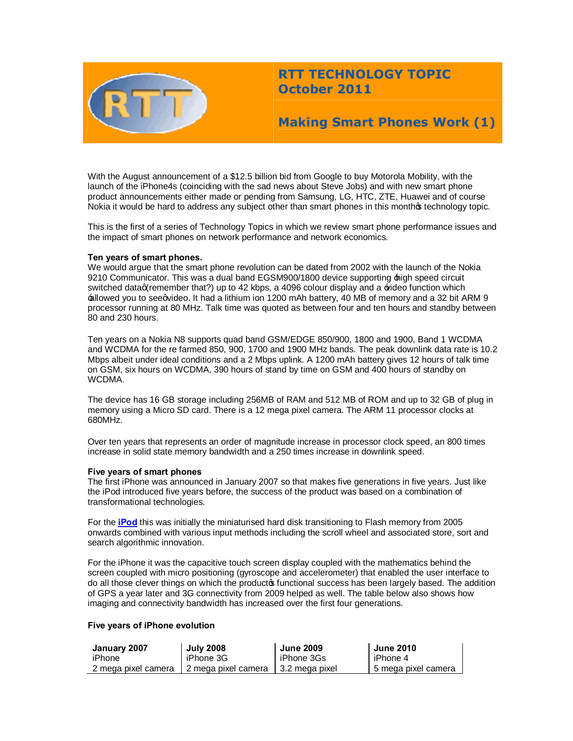

# **RTT TECHNOLOGY TOPIC October 2011**

# **Making Smart Phones Work (1)**

With the August announcement of a \$12.5 billion bid from Google to buy Motorola Mobility, with the launch of the iPhone4s (coinciding with the sad news about Steve Jobs) and with new smart phone product announcements either made or pending from Samsung, LG, HTC, ZTE, Huawei and of course Nokia it would be hard to address any subject other than smart phones in this monthos technology topic.

This is the first of a series of Technology Topics in which we review smart phone performance issues and the impact of smart phones on network performance and network economics.

## **Ten years of smart phones.**

We would argue that the smart phone revolution can be dated from 2002 with the launch of the Nokia 9210 Communicator. This was a dual band EGSM900/1800 device supporting  $\pm$ igh speed circuit switched dataq(remember that?) up to 42 kbps, a 4096 colour display and a *video* function which  $\pm$  allowed you to see qvideo. It had a lithium ion 1200 mAh battery, 40 MB of memory and a 32 bit ARM 9 processor running at 80 MHz. Talk time was quoted as between four and ten hours and standby between 80 and 230 hours.

Ten years on a Nokia N8 supports quad band GSM/EDGE 850/900, 1800 and 1900, Band 1 WCDMA and WCDMA for the re farmed 850, 900, 1700 and 1900 MHz bands. The peak downlink data rate is 10.2 Mbps albeit under ideal conditions and a 2 Mbps uplink. A 1200 mAh battery gives 12 hours of talk time on GSM, six hours on WCDMA, 390 hours of stand by time on GSM and 400 hours of standby on WCDMA.

The device has 16 GB storage including 256MB of RAM and 512 MB of ROM and up to 32 GB of plug in memory using a Micro SD card. There is a 12 mega pixel camera. The ARM 11 processor clocks at 680MHz.

Over ten years that represents an order of magnitude increase in processor clock speed, an 800 times increase in solid state memory bandwidth and a 250 times increase in downlink speed.

#### **Five years of smart phones**

The first iPhone was announced in January 2007 so that makes five generations in five years. Just like the iPod introduced five years before, the success of the product was based on a combination of transformational technologies.

For the **iPod** this was initially the miniaturised hard disk transitioning to Flash memory from 2005 onwards combined with various input methods including the scroll wheel and associated store, sort and search algorithmic innovation.

Fo[r the iP](http://www.ipodhistory.com/)hone it was the capacitive touch screen display coupled with the mathematics behind the screen coupled with micro positioning (gyroscope and accelerometer) that enabled the user interface to do all those clever things on which the productos functional success has been largely based. The addition of GPS a year later and 3G connectivity from 2009 helped as well. The table below also shows how imaging and connectivity bandwidth has increased over the first four generations.

## **Five years of iPhone evolution**

| January 2007        | <b>July 2008</b>    | <b>June 2009</b> | <b>June 2010</b>    |
|---------------------|---------------------|------------------|---------------------|
| iPhone              | iPhone 3G           | iPhone 3Gs       | I iPhone 4          |
| 2 mega pixel camera | 2 mega pixel camera | ∣ 3.2 mega pixel | 5 mega pixel camera |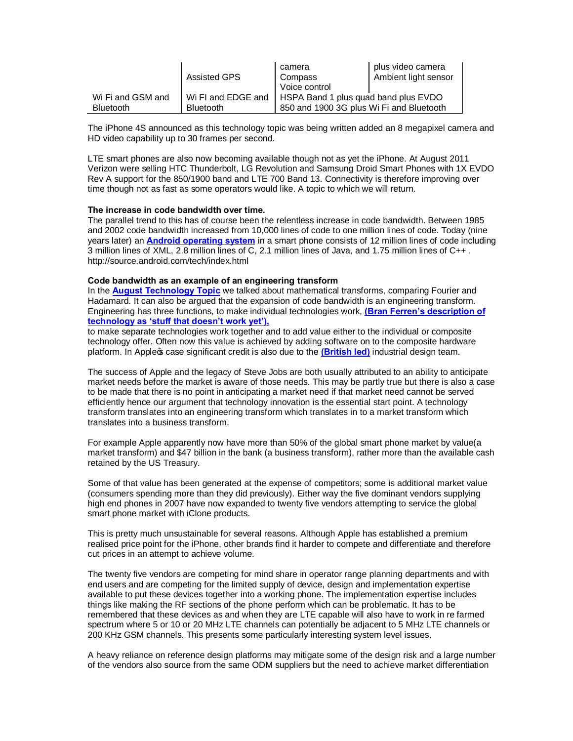|                   | Assisted GPS       | camera<br>Compass                        | plus video camera<br>Ambient light sensor |
|-------------------|--------------------|------------------------------------------|-------------------------------------------|
|                   |                    | Voice control                            |                                           |
| Wi Fi and GSM and | Wi FI and EDGE and | HSPA Band 1 plus quad band plus EVDO     |                                           |
| <b>Bluetooth</b>  | <b>Bluetooth</b>   | 850 and 1900 3G plus Wi Fi and Bluetooth |                                           |

The iPhone 4S announced as this technology topic was being written added an 8 megapixel camera and HD video capability up to 30 frames per second.

LTE smart phones are also now becoming available though not as yet the iPhone. At August 2011 Verizon were selling HTC Thunderbolt, LG Revolution and Samsung Droid Smart Phones with 1X EVDO Rev A support for the 850/1900 band and LTE 700 Band 13. Connectivity is therefore improving over time though not as fast as some operators would like. A topic to which we will return.

## **The increase in code bandwidth over time.**

The parallel trend to this has of course been the relentless increase in code bandwidth. Between 1985 and 2002 code bandwidth increased from 10,000 lines of code to one million lines of code. Today (nine years later) an **Android operating system** in a smart phone consists of 12 million lines of code including 3 million li[nes of XML, 2.8 million lines of](http://source.android.com/tech/index.html) C, 2.1 million lines of Java, and 1.75 million lines of C++ . http://source.android.com/tech/index.html

#### **Code bandwidth as an example of an engineering transform**

In the **August Technology Topic** we talked about mathematical transforms, comparing Fourier and Hadamard. It can also be argued that the expansion of code bandwidth is an engineering transform. [Engineering has three functions](http://www.rttonline.com/tt/TT2011_008.pdf), to make individual technologies work, **(Bran Ferren's description of technology as 'stuff that doesn't work yet'),**

to make separate technologies work together and to add value either t[o the individual or composite](http://www.douglasadams.com/dna/19990901-00-a.html)  technology offer. [Often now this value is achi](http://www.douglasadams.com/dna/19990901-00-a.html)eved by adding software on to the composite hardware platform. In Appleos case significant credit is also due to the (British led) industrial design team.

The success of Apple and the legacy of Steve Jobs are both [usually attri](http://www.apple.com/pr/bios/jonathan-ive.html)buted to an ability to anticipate market needs before the market is aware of those needs. This may be partly true but there is also a case to be made that there is no point in anticipating a market need if that market need cannot be served efficiently hence our argument that technology innovation is the essential start point. A technology transform translates into an engineering transform which translates in to a market transform which translates into a business transform.

For example Apple apparently now have more than 50% of the global smart phone market by value(a market transform) and \$47 billion in the bank (a business transform), rather more than the available cash retained by the US Treasury.

Some of that value has been generated at the expense of competitors; some is additional market value (consumers spending more than they did previously). Either way the five dominant vendors supplying high end phones in 2007 have now expanded to twenty five vendors attempting to service the global smart phone market with iClone products.

This is pretty much unsustainable for several reasons. Although Apple has established a premium realised price point for the iPhone, other brands find it harder to compete and differentiate and therefore cut prices in an attempt to achieve volume.

The twenty five vendors are competing for mind share in operator range planning departments and with end users and are competing for the limited supply of device, design and implementation expertise available to put these devices together into a working phone. The implementation expertise includes things like making the RF sections of the phone perform which can be problematic. It has to be remembered that these devices as and when they are LTE capable will also have to work in re farmed spectrum where 5 or 10 or 20 MHz LTE channels can potentially be adjacent to 5 MHz LTE channels or 200 KHz GSM channels. This presents some particularly interesting system level issues.

A heavy reliance on reference design platforms may mitigate some of the design risk and a large number of the vendors also source from the same ODM suppliers but the need to achieve market differentiation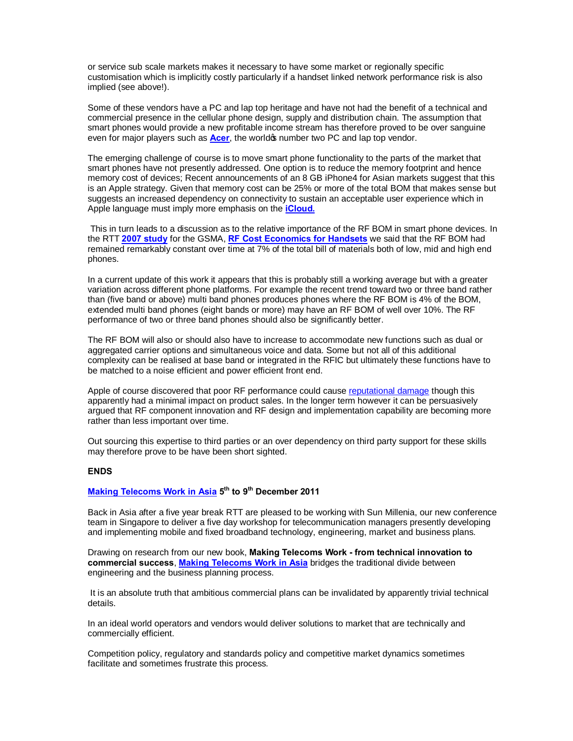or service sub scale markets makes it necessary to have some market or regionally specific customisation which is implicitly costly particularly if a handset linked network performance risk is also implied (see above!).

Some of these vendors have a PC and lap top heritage and have not had the benefit of a technical and commercial presence in the cellular phone design, supply and distribution chain. The assumption that smart phones would provide a new profitable income stream has therefore proved to be over sanguine even for major players such [as](http://www.acer-group.com/public/News/2011/20110824.htm) **Acer**, the worldo<sub>f</sub> number two PC and lap top vendor.

The emerging challenge of course is to move smart phone functionality to the parts of the market that smart phones have not presently addressed. One option is to reduce the memory footprint and hence memory cost of devices; Recent announcements of an 8 GB iPhone4 for Asian markets suggest that this is an Apple strategy. Given that memory cost can be 25% or more of the total BOM that makes sense but suggests an increased dependency on connectivity to sustain an acceptable user experience which in Apple language must imply more emphasis on the **iCloud.**

This in turn leads to a discussion as to the relati[ve import](http://www.apple.com/uk/icloud)ance of the RF BOM in smart phone devices. In the RTT **2007 study** for the GSMA, **RF Cost Economics for Handsets** we said that the RF BOM had rem[ained remark](http://www.rttonline.com/resources.html)ably constant o[ver time at 7% of the total bill of materia](http://www.rttonline.com/documents/rfcosteconhsetss.pdf)ls both of low, mid and high end phones.

In a current update of this work it appears that this is probably still a working average but with a greater variation across different phone platforms. For example the recent trend toward two or three band rather than (five band or above) multi band phones produces phones where the RF BOM is 4% of the BOM, extended multi band phones (eight bands or more) may have an RF BOM of well over 10%. The RF performance of two or three band phones should also be significantly better.

The RF BOM will also or should also have to increase to accommodate new functions such as dual or aggregated carrier options and simultaneous voice and data. Some but not all of this additional complexity can be realised at base band or integrated in the RFIC but ultimately these functions have to be matched to a noise efficient and power efficient front end.

Apple of course discovered that poor RF performance could cause reputational damage though this apparently had a minimal impact on product sales. In the longer term however it can be persuasively argued that RF component innovation and RF design and implem[entation capability](http://www.bbc.co.uk/news/technology-10641910) are becoming more rather than less important over time.

Out sourcing this expertise to third parties or an over dependency on third party support for these skills may therefore prove to be have been short sighted.

## **ENDS**

# **Making Telecoms Work in Asia 5th to 9th December 2011**

Back in Asia after a five year break RTT are pleased to be working with Sun Millenia, our new conference [team in Singapore to deliver a](http://www.rttonline.com/documents/MTW_Asia.pdf) five day workshop for telecommunication managers presently developing and implementing mobile and fixed broadband technology, engineering, market and business plans.

Drawing on research from our new book, **Making Telecoms Work - from technical innovation to commercial success**, **Making Telecoms Work in Asia** bridges the traditional divide between engineering and the business planning process.

It is an absolute tr[uth that ambitious commercial plans](http://www.rttonline.com/documents/MTW_Asia.pdf) can be invalidated by apparently trivial technical details.

In an ideal world operators and vendors would deliver solutions to market that are technically and commercially efficient.

Competition policy, regulatory and standards policy and competitive market dynamics sometimes facilitate and sometimes frustrate this process.